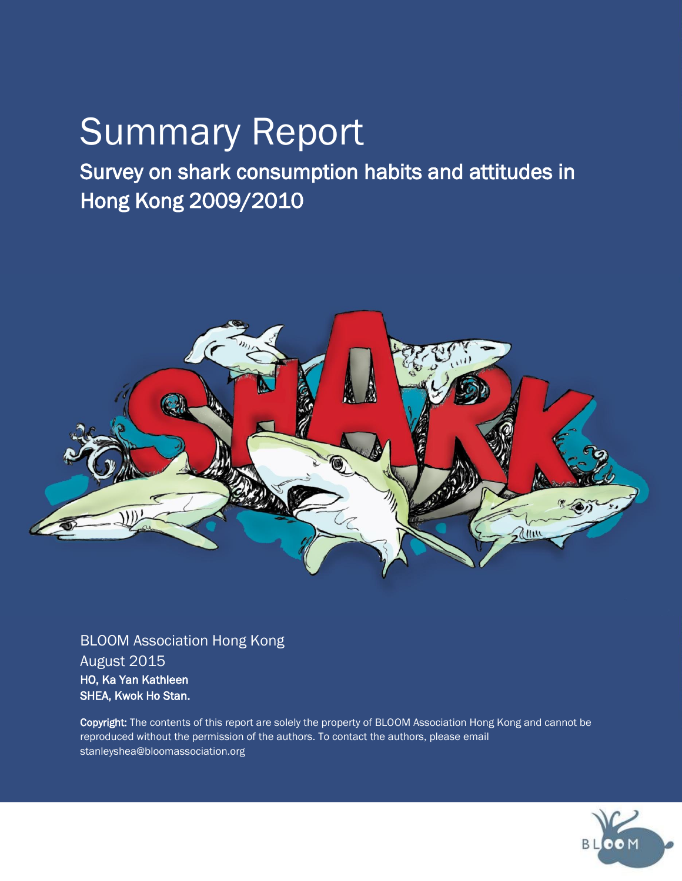# Summary Report

Survey on shark consumption habits and attitudes in Hong Kong 2009/2010



BLOOM Association Hong Kong August 2015 HO, Ka Yan Kathleen SHEA, Kwok Ho Stan.

Copyright: The contents of this report are solely the property of BLOOM Association Hong Kong and cannot be reproduced without the permission of the authors. To contact the authors, please email stanleyshea@bloomassociation.org

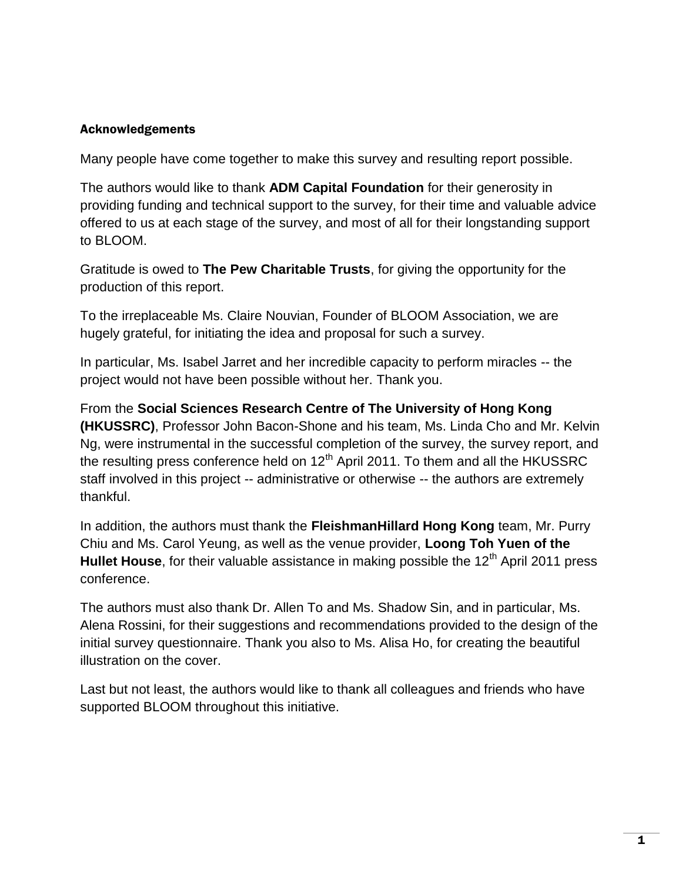#### Acknowledgements

Many people have come together to make this survey and resulting report possible.

The authors would like to thank **ADM Capital Foundation** for their generosity in providing funding and technical support to the survey, for their time and valuable advice offered to us at each stage of the survey, and most of all for their longstanding support to BLOOM.

Gratitude is owed to **The Pew Charitable Trusts**, for giving the opportunity for the production of this report.

To the irreplaceable Ms. Claire Nouvian, Founder of BLOOM Association, we are hugely grateful, for initiating the idea and proposal for such a survey.

In particular, Ms. Isabel Jarret and her incredible capacity to perform miracles -- the project would not have been possible without her. Thank you.

From the **Social Sciences Research Centre of The University of Hong Kong (HKUSSRC)**, Professor John Bacon-Shone and his team, Ms. Linda Cho and Mr. Kelvin Ng, were instrumental in the successful completion of the survey, the survey report, and the resulting press conference held on  $12<sup>th</sup>$  April 2011. To them and all the HKUSSRC staff involved in this project -- administrative or otherwise -- the authors are extremely thankful.

In addition, the authors must thank the **FleishmanHillard Hong Kong** team, Mr. Purry Chiu and Ms. Carol Yeung, as well as the venue provider, **Loong Toh Yuen of the**  Hullet House, for their valuable assistance in making possible the 12<sup>th</sup> April 2011 press conference.

The authors must also thank Dr. Allen To and Ms. Shadow Sin, and in particular, Ms. Alena Rossini, for their suggestions and recommendations provided to the design of the initial survey questionnaire. Thank you also to Ms. Alisa Ho, for creating the beautiful illustration on the cover.

Last but not least, the authors would like to thank all colleagues and friends who have supported BLOOM throughout this initiative.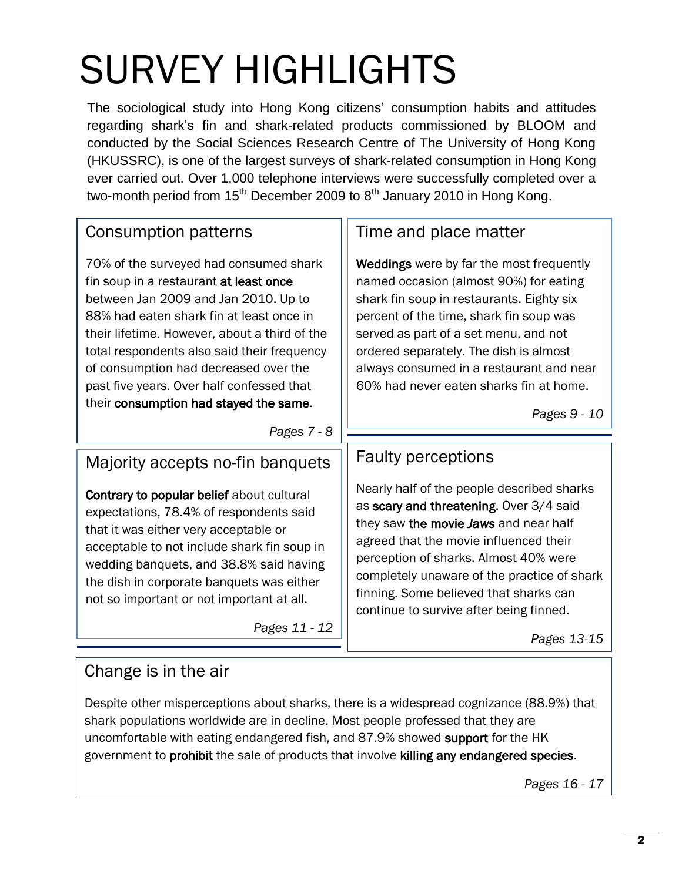# SURVEY HIGHLIGHTS

The sociological study into Hong Kong citizens' consumption habits and attitudes regarding shark's fin and shark-related products commissioned by BLOOM and conducted by the Social Sciences Research Centre of The University of Hong Kong (HKUSSRC), is one of the largest surveys of shark-related consumption in Hong Kong ever carried out. Over 1,000 telephone interviews were successfully completed over a two-month period from  $15<sup>th</sup>$  December 2009 to  $8<sup>th</sup>$  January 2010 in Hong Kong.

### Consumption patterns

70% of the surveyed had consumed shark fin soup in a restaurant at least once between Jan 2009 and Jan 2010. Up to 88% had eaten shark fin at least once in their lifetime. However, about a third of the total respondents also said their frequency of consumption had decreased over the past five years. Over half confessed that their consumption had stayed the same.

### Time and place matter

Weddings were by far the most frequently named occasion (almost 90%) for eating shark fin soup in restaurants. Eighty six percent of the time, shark fin soup was served as part of a set menu, and not ordered separately. The dish is almost always consumed in a restaurant and near 60% had never eaten sharks fin at home.

*Pages 9 - 10*

#### *Pages 7 - 8*

### Majority accepts no-fin banquets

Contrary to popular belief about cultural expectations, 78.4% of respondents said that it was either very acceptable or acceptable to not include shark fin soup in wedding banquets, and 38.8% said having the dish in corporate banquets was either not so important or not important at all.

*Pages 11 - 12*

### Faulty perceptions

Nearly half of the people described sharks as scary and threatening. Over 3/4 said they saw the movie *Jaws* and near half agreed that the movie influenced their perception of sharks. Almost 40% were completely unaware of the practice of shark finning. Some believed that sharks can continue to survive after being finned.

*Pages 13-15*

### Change is in the air

Despite other misperceptions about sharks, there is a widespread cognizance (88.9%) that shark populations worldwide are in decline. Most people professed that they are uncomfortable with eating endangered fish, and 87.9% showed support for the HK government to prohibit the sale of products that involve killing any endangered species.

*Pages 16 - 17*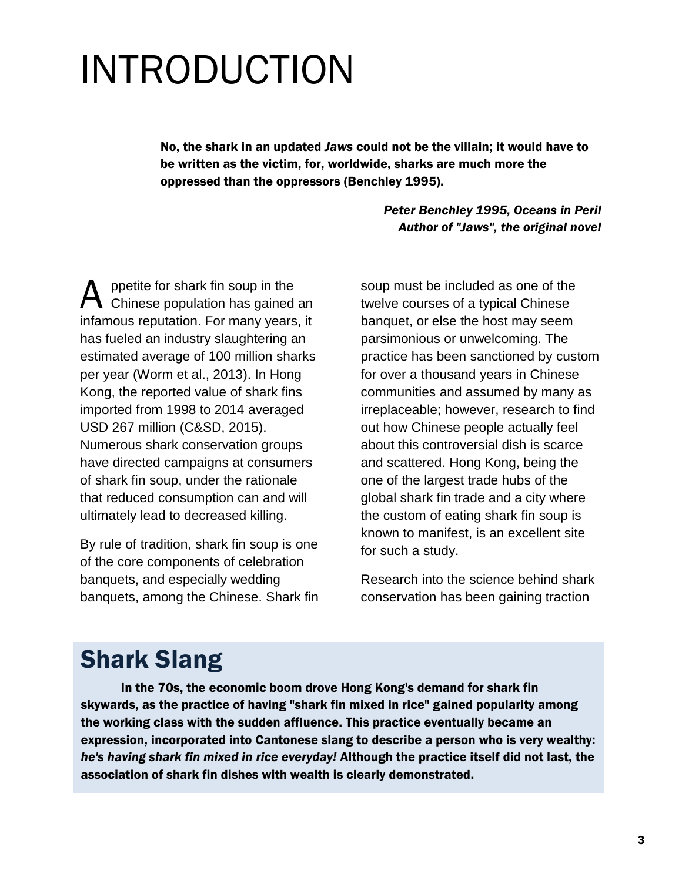# INTRODUCTION

No, the shark in an updated *Jaws* could not be the villain; it would have to be written as the victim, for, worldwide, sharks are much more the oppressed than the oppressors (Benchley 1995).

> *Peter Benchley 1995, Oceans in Peril Author of "Jaws", the original novel*

ppetite for shark fin soup in the Chinese population has gained an infamous reputation. For many years, it has fueled an industry slaughtering an estimated average of 100 million sharks per year (Worm et al., 2013). In Hong Kong, the reported value of shark fins imported from 1998 to 2014 averaged USD 267 million (C&SD, 2015). Numerous shark conservation groups have directed campaigns at consumers of shark fin soup, under the rationale that reduced consumption can and will ultimately lead to decreased killing. A

By rule of tradition, shark fin soup is one of the core components of celebration banquets, and especially wedding banquets, among the Chinese. Shark fin soup must be included as one of the twelve courses of a typical Chinese banquet, or else the host may seem parsimonious or unwelcoming. The practice has been sanctioned by custom for over a thousand years in Chinese communities and assumed by many as irreplaceable; however, research to find out how Chinese people actually feel about this controversial dish is scarce and scattered. Hong Kong, being the one of the largest trade hubs of the global shark fin trade and a city where the custom of eating shark fin soup is known to manifest, is an excellent site for such a study.

Research into the science behind shark conservation has been gaining traction

## Shark Slang

In the 70s, the economic boom drove Hong Kong's demand for shark fin skywards, as the practice of having "shark fin mixed in rice" gained popularity among the working class with the sudden affluence. This practice eventually became an expression, incorporated into Cantonese slang to describe a person who is very wealthy: *he's having shark fin mixed in rice everyday!* Although the practice itself did not last, the association of shark fin dishes with wealth is clearly demonstrated.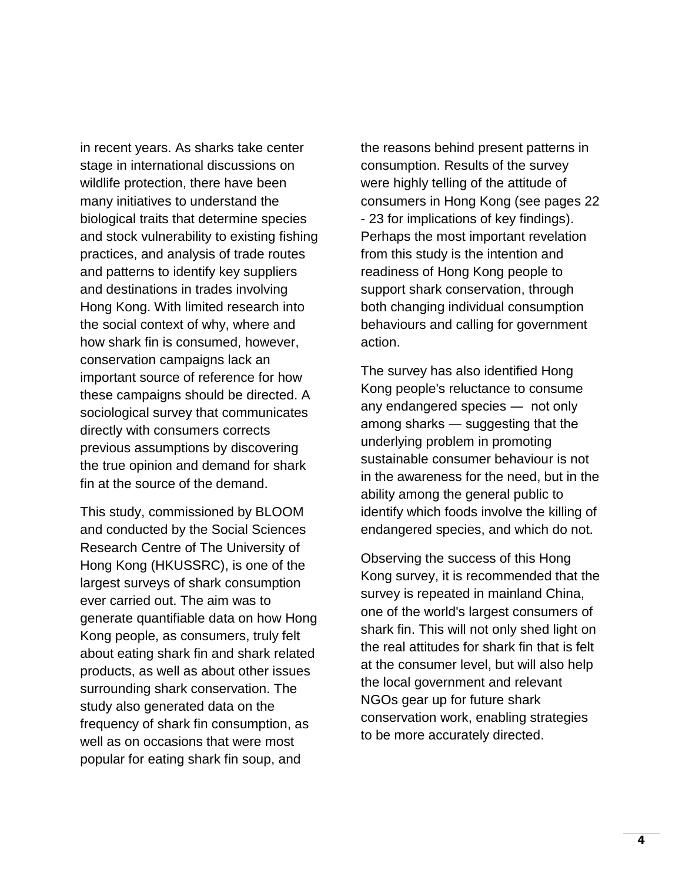in recent years. As sharks take center stage in international discussions on wildlife protection, there have been many initiatives to understand the biological traits that determine species and stock vulnerability to existing fishing practices, and analysis of trade routes and patterns to identify key suppliers and destinations in trades involving Hong Kong. With limited research into the social context of why, where and how shark fin is consumed, however, conservation campaigns lack an important source of reference for how these campaigns should be directed. A sociological survey that communicates directly with consumers corrects previous assumptions by discovering the true opinion and demand for shark fin at the source of the demand.

This study, commissioned by BLOOM and conducted by the Social Sciences Research Centre of The University of Hong Kong (HKUSSRC), is one of the largest surveys of shark consumption ever carried out. The aim was to generate quantifiable data on how Hong Kong people, as consumers, truly felt about eating shark fin and shark related products, as well as about other issues surrounding shark conservation. The study also generated data on the frequency of shark fin consumption, as well as on occasions that were most popular for eating shark fin soup, and

the reasons behind present patterns in consumption. Results of the survey were highly telling of the attitude of consumers in Hong Kong (see pages 22 - 23 for implications of key findings). Perhaps the most important revelation from this study is the intention and readiness of Hong Kong people to support shark conservation, through both changing individual consumption behaviours and calling for government action.

The survey has also identified Hong Kong people's reluctance to consume any endangered species ― not only among sharks ― suggesting that the underlying problem in promoting sustainable consumer behaviour is not in the awareness for the need, but in the ability among the general public to identify which foods involve the killing of endangered species, and which do not.

Observing the success of this Hong Kong survey, it is recommended that the survey is repeated in mainland China, one of the world's largest consumers of shark fin. This will not only shed light on the real attitudes for shark fin that is felt at the consumer level, but will also help the local government and relevant NGOs gear up for future shark conservation work, enabling strategies to be more accurately directed.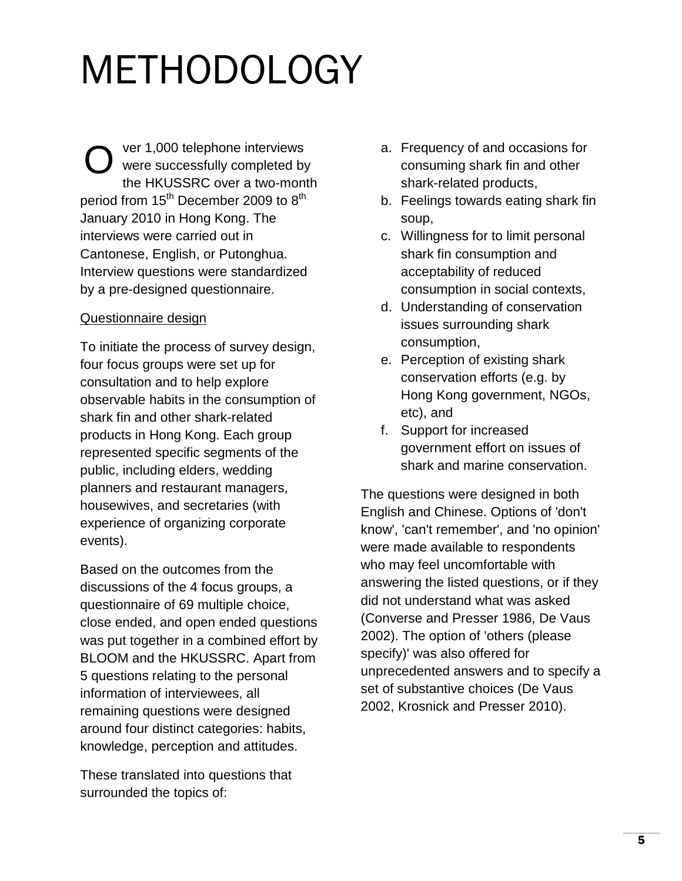# METHODOLOGY

ver 1,000 telephone interviews were successfully completed by the HKUSSRC over a two-month period from 15<sup>th</sup> December 2009 to 8<sup>th</sup> January 2010 in Hong Kong. The interviews were carried out in Cantonese, English, or Putonghua. Interview questions were standardized by a pre-designed questionnaire. O

#### Questionnaire design

To initiate the process of survey design, four focus groups were set up for consultation and to help explore observable habits in the consumption of shark fin and other shark-related products in Hong Kong. Each group represented specific segments of the public, including elders, wedding planners and restaurant managers, housewives, and secretaries (with experience of organizing corporate events).

Based on the outcomes from the discussions of the 4 focus groups, a questionnaire of 69 multiple choice, close ended, and open ended questions was put together in a combined effort by BLOOM and the HKUSSRC. Apart from 5 questions relating to the personal information of interviewees, all remaining questions were designed around four distinct categories: habits, knowledge, perception and attitudes.

These translated into questions that surrounded the topics of:

- a. Frequency of and occasions for consuming shark fin and other shark-related products,
- b. Feelings towards eating shark fin soup,
- c. Willingness for to limit personal shark fin consumption and acceptability of reduced consumption in social contexts,
- d. Understanding of conservation issues surrounding shark consumption,
- e. Perception of existing shark conservation efforts (e.g. by Hong Kong government, NGOs, etc), and
- f. Support for increased government effort on issues of shark and marine conservation.

The questions were designed in both English and Chinese. Options of 'don't know', 'can't remember', and 'no opinion' were made available to respondents who may feel uncomfortable with answering the listed questions, or if they did not understand what was asked (Converse and Presser 1986, De Vaus 2002). The option of 'others (please specify)' was also offered for unprecedented answers and to specify a set of substantive choices (De Vaus 2002, Krosnick and Presser 2010).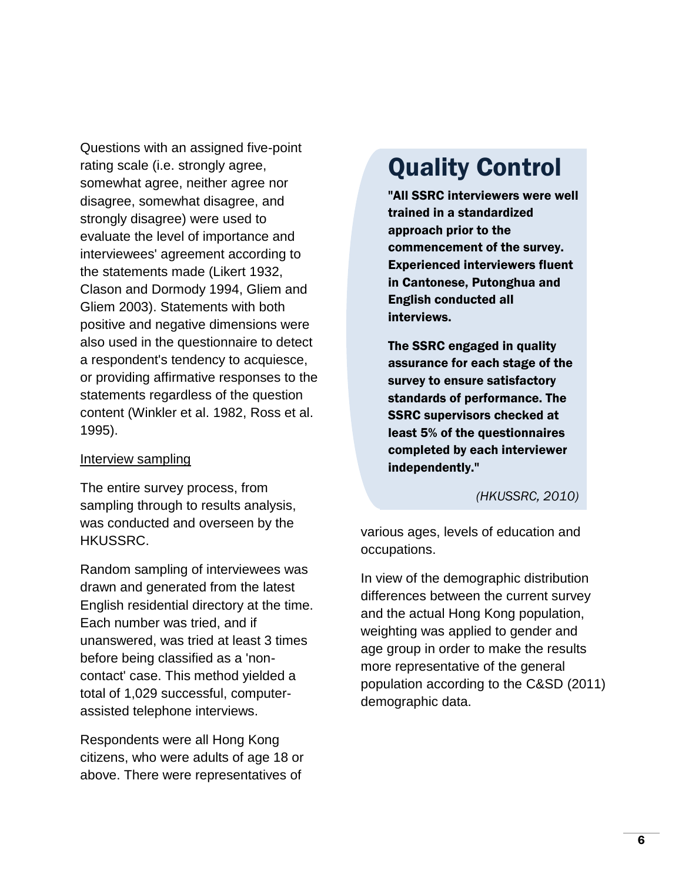Questions with an assigned five-point rating scale (i.e. strongly agree, somewhat agree, neither agree nor disagree, somewhat disagree, and strongly disagree) were used to evaluate the level of importance and interviewees' agreement according to the statements made (Likert 1932, Clason and Dormody 1994, Gliem and Gliem 2003). Statements with both positive and negative dimensions were also used in the questionnaire to detect a respondent's tendency to acquiesce, or providing affirmative responses to the statements regardless of the question content (Winkler et al. 1982, Ross et al. 1995).

#### Interview sampling

The entire survey process, from sampling through to results analysis, was conducted and overseen by the HKUSSRC.

Random sampling of interviewees was drawn and generated from the latest English residential directory at the time. Each number was tried, and if unanswered, was tried at least 3 times before being classified as a 'noncontact' case. This method yielded a total of 1,029 successful, computerassisted telephone interviews.

Respondents were all Hong Kong citizens, who were adults of age 18 or above. There were representatives of

## Quality Control

"All SSRC interviewers were well trained in a standardized approach prior to the commencement of the survey. Experienced interviewers fluent in Cantonese, Putonghua and English conducted all interviews.

The SSRC engaged in quality assurance for each stage of the survey to ensure satisfactory standards of performance. The SSRC supervisors checked at least 5% of the questionnaires completed by each interviewer independently."

*(HKUSSRC, 2010)*

various ages, levels of education and occupations.

In view of the demographic distribution differences between the current survey and the actual Hong Kong population, weighting was applied to gender and age group in order to make the results more representative of the general population according to the C&SD (2011) demographic data.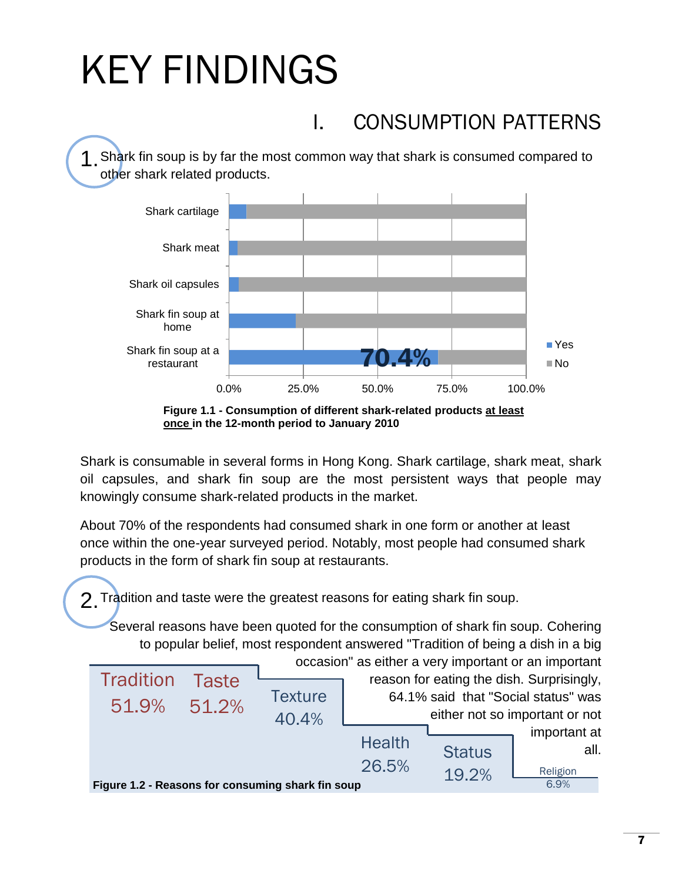# KEY FINDINGS

## I. CONSUMPTION PATTERNS

1 Shark fin soup is by far the most common way that shark is consumed compared to other shark related products.





Shark is consumable in several forms in Hong Kong. Shark cartilage, shark meat, shark oil capsules, and shark fin soup are the most persistent ways that people may knowingly consume shark-related products in the market.

About 70% of the respondents had consumed shark in one form or another at least once within the one-year surveyed period. Notably, most people had consumed shark products in the form of shark fin soup at restaurants.

2.Tradition and taste were the greatest reasons for eating shark fin soup.

Several reasons have been quoted for the consumption of shark fin soup. Cohering to popular belief, most respondent answered "Tradition of being a dish in a big

| Tradition<br>51.9%                                | Taste<br>51.2% | <b>Texture</b> | occasion" as either a very important or an important<br>reason for eating the dish. Surprisingly,<br>64.1% said that "Social status" was<br>either not so important or not |               |                      |
|---------------------------------------------------|----------------|----------------|----------------------------------------------------------------------------------------------------------------------------------------------------------------------------|---------------|----------------------|
|                                                   |                | 40.4%          |                                                                                                                                                                            |               |                      |
|                                                   |                |                | <b>Health</b>                                                                                                                                                              |               | important at<br>all. |
|                                                   |                |                |                                                                                                                                                                            | <b>Status</b> |                      |
|                                                   |                |                | 26.5%                                                                                                                                                                      | 19.2%         | Religion             |
| Figure 1.2 - Reasons for consuming shark fin soup |                |                | 6.9%                                                                                                                                                                       |               |                      |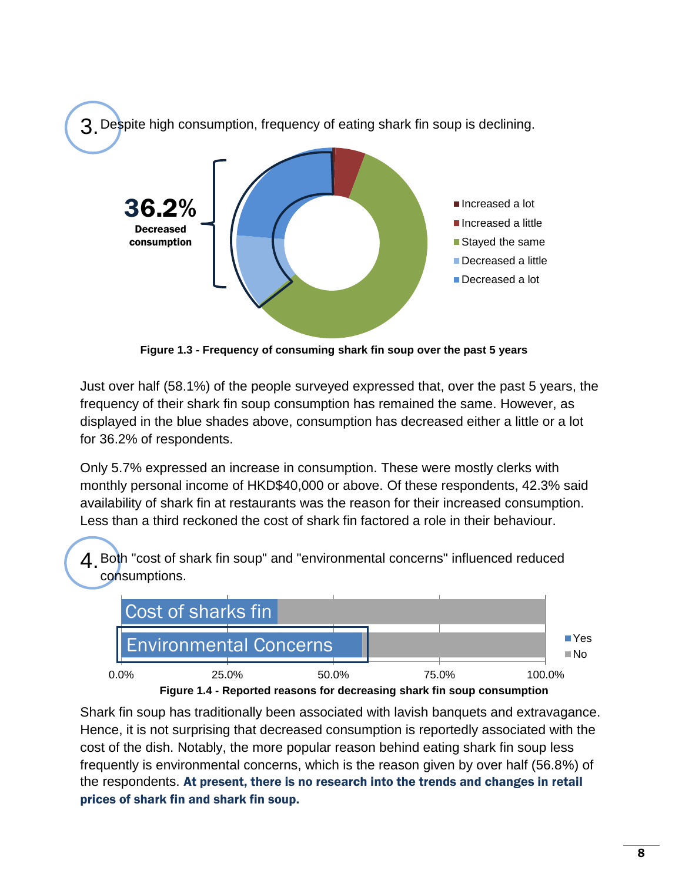

**Figure 1.3 - Frequency of consuming shark fin soup over the past 5 years**

Just over half (58.1%) of the people surveyed expressed that, over the past 5 years, the frequency of their shark fin soup consumption has remained the same. However, as displayed in the blue shades above, consumption has decreased either a little or a lot for 36.2% of respondents.

Only 5.7% expressed an increase in consumption. These were mostly clerks with monthly personal income of HKD\$40,000 or above. Of these respondents, 42.3% said availability of shark fin at restaurants was the reason for their increased consumption. Less than a third reckoned the cost of shark fin factored a role in their behaviour.

4.Both "cost of shark fin soup" and "environmental concerns" influenced reduced consumptions.





Shark fin soup has traditionally been associated with lavish banquets and extravagance. Hence, it is not surprising that decreased consumption is reportedly associated with the cost of the dish. Notably, the more popular reason behind eating shark fin soup less frequently is environmental concerns, which is the reason given by over half (56.8%) of the respondents. At present, there is no research into the trends and changes in retail prices of shark fin and shark fin soup.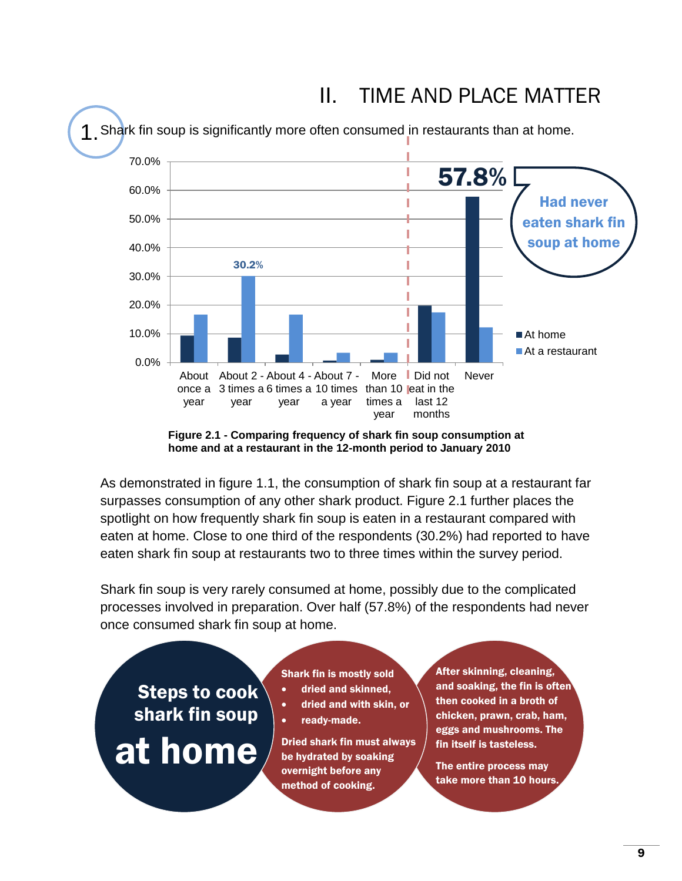

## II. TIME AND PLACE MATTER

**Figure 2.1 - Comparing frequency of shark fin soup consumption at home and at a restaurant in the 12-month period to January 2010**

As demonstrated in figure 1.1, the consumption of shark fin soup at a restaurant far surpasses consumption of any other shark product. Figure 2.1 further places the spotlight on how frequently shark fin soup is eaten in a restaurant compared with eaten at home. Close to one third of the respondents (30.2%) had reported to have eaten shark fin soup at restaurants two to three times within the survey period.

Shark fin soup is very rarely consumed at home, possibly due to the complicated processes involved in preparation. Over half (57.8%) of the respondents had never once consumed shark fin soup at home.

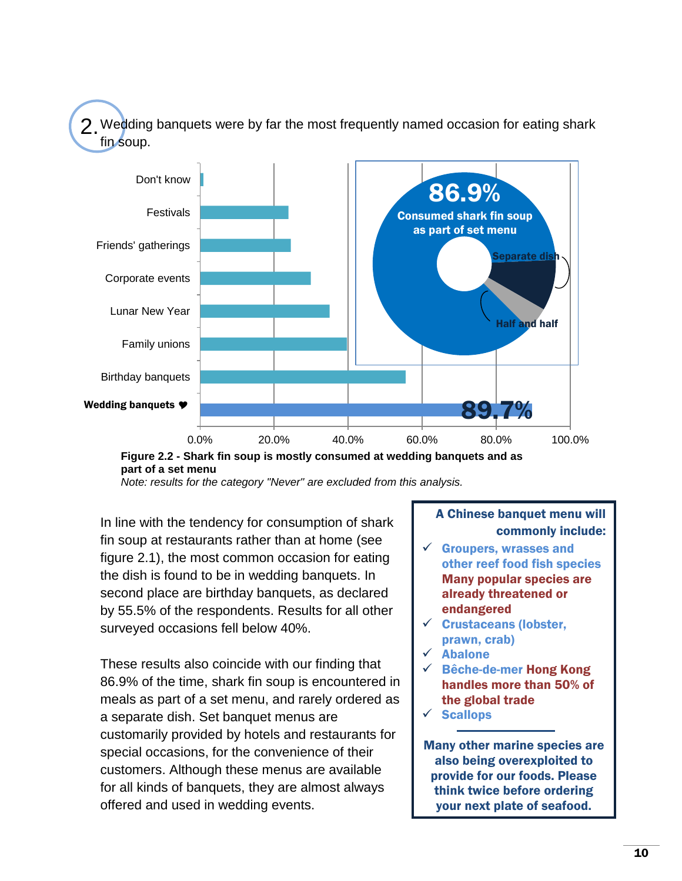2. Wedding banquets were by far the most frequently named occasion for eating shark fin soup.





*Note: results for the category "Never" are excluded from this analysis.*

In line with the tendency for consumption of shark fin soup at restaurants rather than at home (see figure 2.1), the most common occasion for eating the dish is found to be in wedding banquets. In second place are birthday banquets, as declared by 55.5% of the respondents. Results for all other surveyed occasions fell below 40%.

These results also coincide with our finding that 86.9% of the time, shark fin soup is encountered in meals as part of a set menu, and rarely ordered as a separate dish. Set banquet menus are customarily provided by hotels and restaurants for special occasions, for the convenience of their customers. Although these menus are available for all kinds of banquets, they are almost always offered and used in wedding events.

#### A Chinese banquet menu will commonly include:

- $\checkmark$  Groupers, wrasses and other reef food fish species Many popular species are already threatened or endangered
- $\checkmark$  Crustaceans (lobster, prawn, crab)
- $\times$  Abalone
- Bêche-de-mer Hong Kong handles more than 50% of the global trade
- $\checkmark$  Scallops

Many other marine species are also being overexploited to provide for our foods. Please think twice before ordering your next plate of seafood.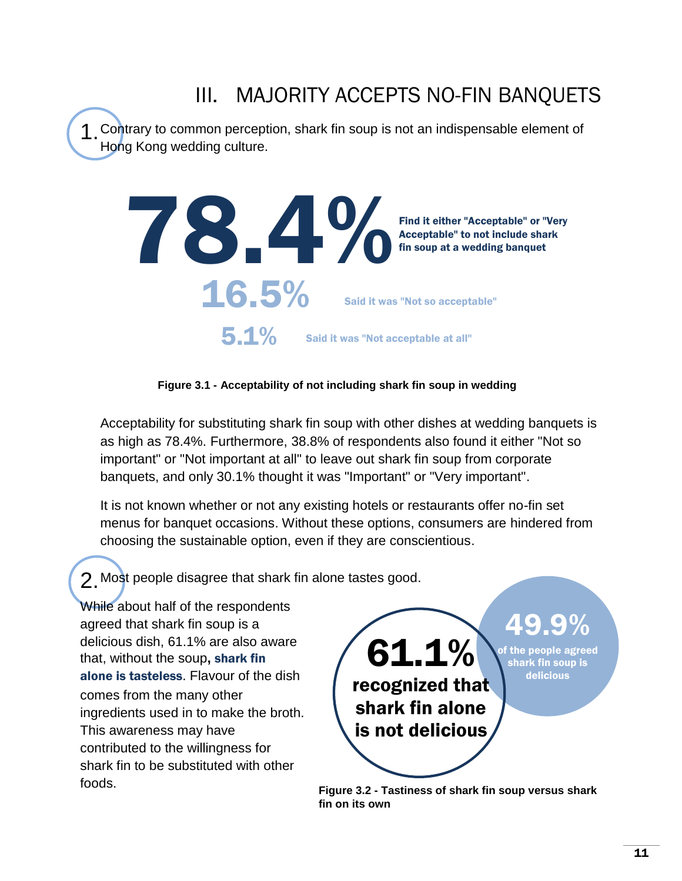## III. MAJORITY ACCEPTS NO-FIN BANQUETS

1.Contrary to common perception, shark fin soup is not an indispensable element of Hong Kong wedding culture.



#### **Figure 3.1 - Acceptability of not including shark fin soup in wedding**

Acceptability for substituting shark fin soup with other dishes at wedding banquets is as high as 78.4%. Furthermore, 38.8% of respondents also found it either "Not so important" or "Not important at all" to leave out shark fin soup from corporate banquets, and only 30.1% thought it was "Important" or "Very important".

It is not known whether or not any existing hotels or restaurants offer no-fin set menus for banquet occasions. Without these options, consumers are hindered from choosing the sustainable option, even if they are conscientious.

2.Most people disagree that shark fin alone tastes good.

While about half of the respondents agreed that shark fin soup is a delicious dish, 61.1% are also aware that, without the soup**,** shark fin alone is tasteless. Flavour of the dish comes from the many other ingredients used in to make the broth. This awareness may have contributed to the willingness for shark fin to be substituted with other foods.

61.1% recognized that shark fin alone is not delicious 49.9%

of the people agreed shark fin soup is delicious

**Figure 3.2 - Tastiness of shark fin soup versus shark fin on its own**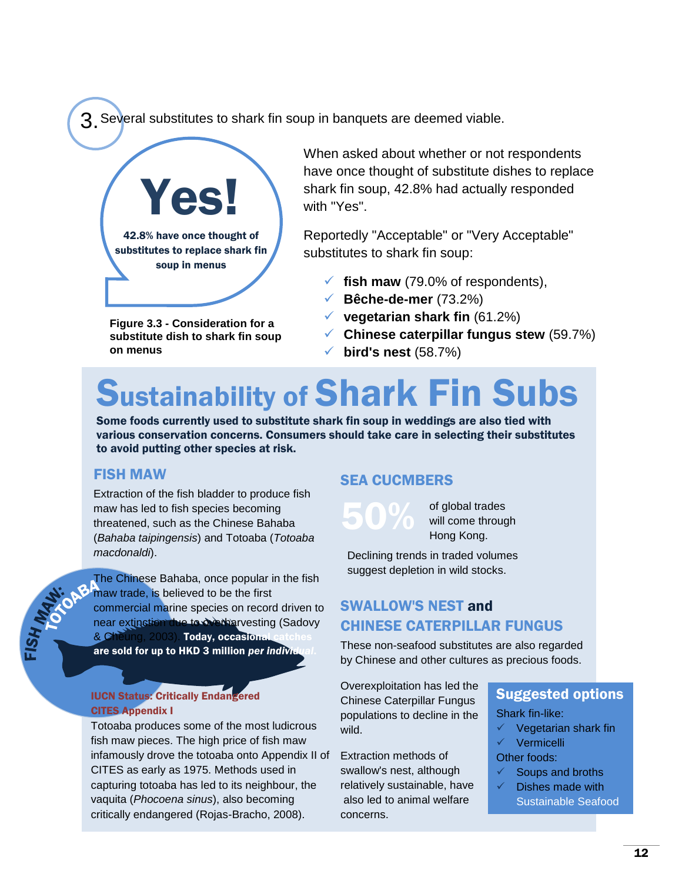3. Several substitutes to shark fin soup in banquets are deemed viable.



substitutes to replace shark fin soup in menus

**Figure 3.3 - Consideration for a substitute dish to shark fin soup on menus**

When asked about whether or not respondents have once thought of substitute dishes to replace shark fin soup, 42.8% had actually responded with "Yes".

Reportedly "Acceptable" or "Very Acceptable" substitutes to shark fin soup:

- $\checkmark$  fish maw (79.0% of respondents),
- **Bêche-de-mer** (73.2%)
- **vegetarian shark fin** (61.2%)
- **Chinese caterpillar fungus stew** (59.7%)
- **bird's nest** (58.7%)

# Sustainability of Shark Fin Subs

Some foods currently used to substitute shark fin soup in weddings are also tied with various conservation concerns. Consumers should take care in selecting their substitutes to avoid putting other species at risk.

#### FISH MAW

Extraction of the fish bladder to produce fish maw has led to fish species becoming threatened, such as the Chinese Bahaba (*Bahaba taipingensis*) and Totoaba (*Totoaba macdonaldi*).

The Chinese Bahaba, once popular in the fish maw trade, is believed to be the first commercial marine species on record driven to near extinction due to overharvesting (Sadovy & Cheung, 2003). Today, occasional are sold for up to HKD 3 million *per individual*.

#### IUCN Status: Critically Endangered CITES Appendix I

Totoaba produces some of the most ludicrous fish maw pieces. The high price of fish maw infamously drove the totoaba onto Appendix II of Extraction methods of CITES as early as 1975. Methods used in capturing totoaba has led to its neighbour, the vaquita (*Phocoena sinus*), also becoming critically endangered (Rojas-Bracho, 2008).

#### SEA CUCMBERS

50% of global trades<br>will come through

will come through Hong Kong.

Declining trends in traded volumes suggest depletion in wild stocks.

### SWALLOW'S NEST and CHINESE CATERPILLAR FUNGUS

These non-seafood substitutes are also regarded by Chinese and other cultures as precious foods.

Overexploitation has led the Chinese Caterpillar Fungus populations to decline in the wild.

swallow's nest, although relatively sustainable, have also led to animal welfare concerns.

### Suggested options

- Shark fin-like:
- Vegetarian shark fin
- $\checkmark$  Vermicelli

Other foods:

- Soups and broths
- Dishes made with Sustainable Seafood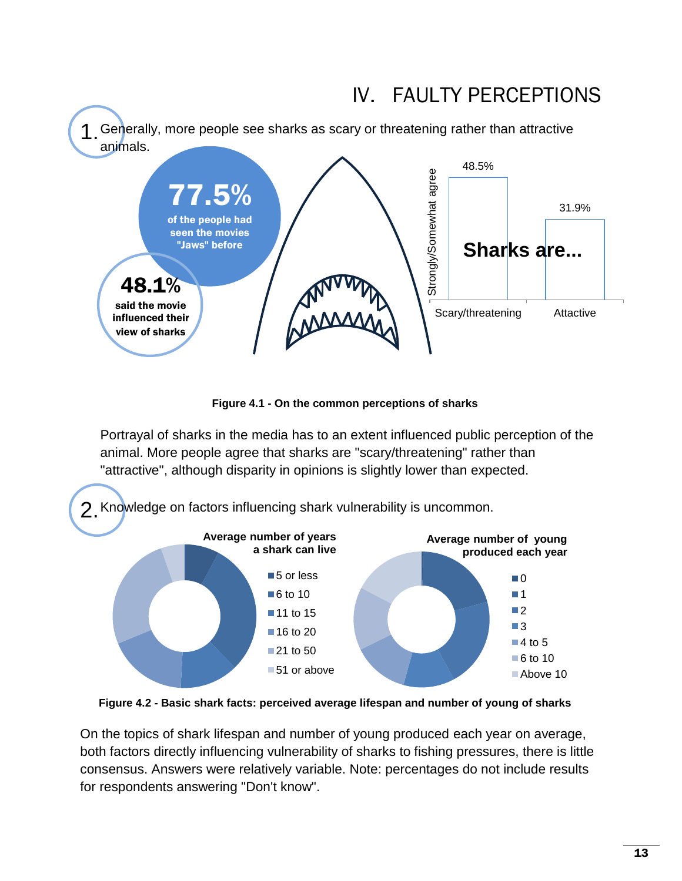

**Figure 4.1 - On the common perceptions of sharks**

Portrayal of sharks in the media has to an extent influenced public perception of the animal. More people agree that sharks are "scary/threatening" rather than "attractive", although disparity in opinions is slightly lower than expected.



**Figure 4.2 - Basic shark facts: perceived average lifespan and number of young of sharks**

On the topics of shark lifespan and number of young produced each year on average, both factors directly influencing vulnerability of sharks to fishing pressures, there is little consensus. Answers were relatively variable. Note: percentages do not include results for respondents answering "Don't know".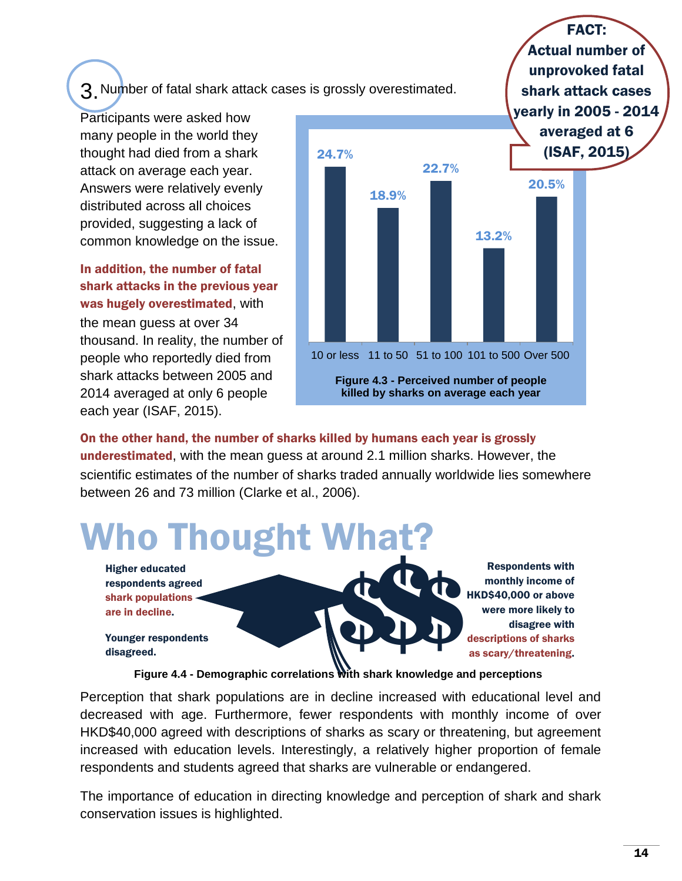3.Number of fatal shark attack cases is grossly overestimated.

Participants were asked how many people in the world they thought had died from a shark attack on average each year. Answers were relatively evenly distributed across all choices provided, suggesting a lack of common knowledge on the issue.

In addition, the number of fatal shark attacks in the previous year was hugely overestimated, with the mean guess at over 34 thousand. In reality, the number of people who reportedly died from shark attacks between 2005 and 2014 averaged at only 6 people each year (ISAF, 2015).



FACT: Actual number of unprovoked fatal

On the other hand, the number of sharks killed by humans each year is grossly

underestimated, with the mean guess at around 2.1 million sharks. However, the scientific estimates of the number of sharks traded annually worldwide lies somewhere between 26 and 73 million (Clarke et al., 2006).



**Figure 4.4 - Demographic correlations with shark knowledge and perceptions**

Perception that shark populations are in decline increased with educational level and decreased with age. Furthermore, fewer respondents with monthly income of over HKD\$40,000 agreed with descriptions of sharks as scary or threatening, but agreement increased with education levels. Interestingly, a relatively higher proportion of female respondents and students agreed that sharks are vulnerable or endangered.

The importance of education in directing knowledge and perception of shark and shark conservation issues is highlighted.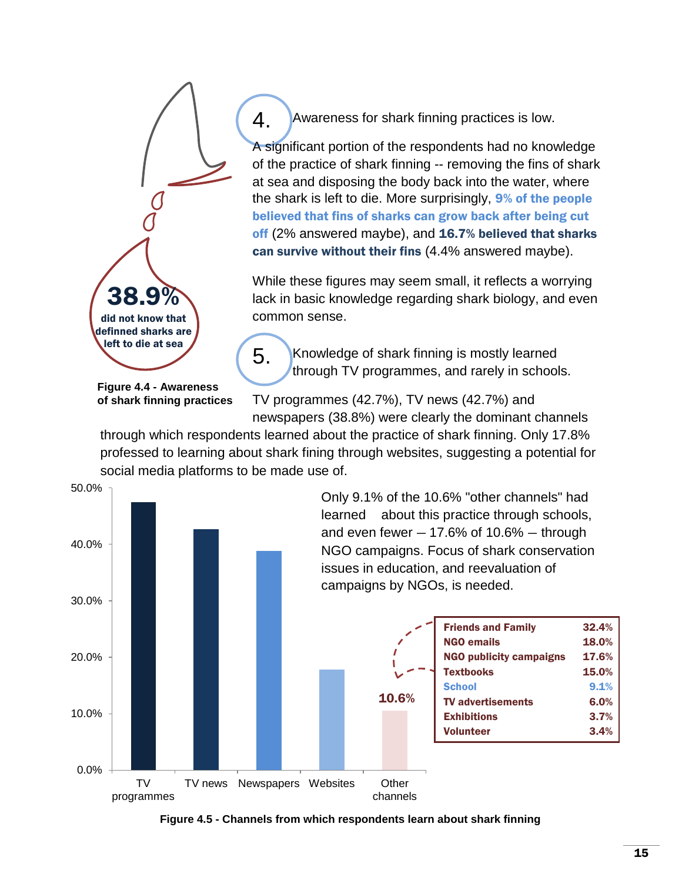

4. Awareness for shark finning practices is low.

A significant portion of the respondents had no knowledge of the practice of shark finning -- removing the fins of shark at sea and disposing the body back into the water, where the shark is left to die. More surprisingly, 9% of the people believed that fins of sharks can grow back after being cut off (2% answered maybe), and 16.7% believed that sharks can survive without their fins (4.4% answered maybe).

While these figures may seem small, it reflects a worrying lack in basic knowledge regarding shark biology, and even common sense.

5. Knowledge of shark finning is mostly learned through TV programmes, and rarely in schools.

**Figure 4.4 - Awareness of shark finning practices**

TV programmes (42.7%), TV news (42.7%) and newspapers (38.8%) were clearly the dominant channels

through which respondents learned about the practice of shark finning. Only 17.8% professed to learning about shark fining through websites, suggesting a potential for social media platforms to be made use of.



Only 9.1% of the 10.6% "other channels" had learned about this practice through schools, and even fewer  $-17.6%$  of  $10.6%$  – through NGO campaigns. Focus of shark conservation issues in education, and reevaluation of campaigns by NGOs, is needed.

|     | <b>Friends and Family</b>      | 32.4% |
|-----|--------------------------------|-------|
|     | <b>NGO emails</b>              | 18.0% |
|     | <b>NGO publicity campaigns</b> | 17.6% |
|     | <b>Textbooks</b>               | 15.0% |
|     | <b>School</b>                  | 9.1%  |
| .6% | <b>TV advertisements</b>       | 6.0%  |
|     | <b>Exhibitions</b>             | 3.7%  |
|     | <b>Volunteer</b>               | 3.4%  |
|     |                                |       |
|     |                                |       |

**Figure 4.5 - Channels from which respondents learn about shark finning**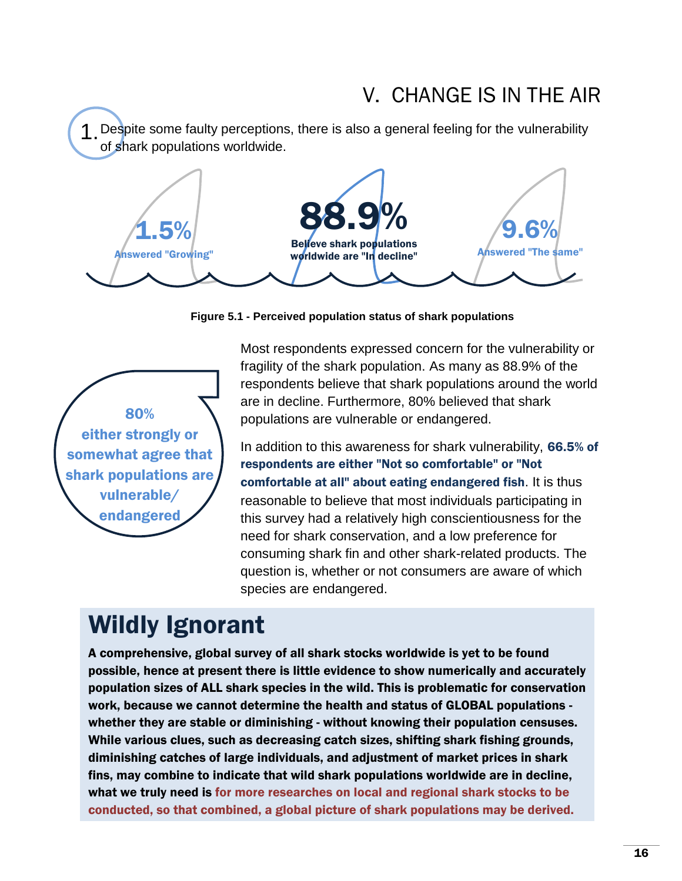## V. CHANGE IS IN THE AIR

1.Despite some faulty perceptions, there is also a general feeling for the vulnerability of shark populations worldwide.



**Figure 5.1 - Perceived population status of shark populations**



Most respondents expressed concern for the vulnerability or fragility of the shark population. As many as 88.9% of the respondents believe that shark populations around the world are in decline. Furthermore, 80% believed that shark populations are vulnerable or endangered.

In addition to this awareness for shark vulnerability, 66.5% of respondents are either "Not so comfortable" or "Not comfortable at all" about eating endangered fish. It is thus reasonable to believe that most individuals participating in this survey had a relatively high conscientiousness for the need for shark conservation, and a low preference for consuming shark fin and other shark-related products. The question is, whether or not consumers are aware of which species are endangered.

## Wildly Ignorant

A comprehensive, global survey of all shark stocks worldwide is yet to be found possible, hence at present there is little evidence to show numerically and accurately population sizes of ALL shark species in the wild. This is problematic for conservation work, because we cannot determine the health and status of GLOBAL populations whether they are stable or diminishing - without knowing their population censuses. While various clues, such as decreasing catch sizes, shifting shark fishing grounds, diminishing catches of large individuals, and adjustment of market prices in shark fins, may combine to indicate that wild shark populations worldwide are in decline, what we truly need is for more researches on local and regional shark stocks to be conducted, so that combined, a global picture of shark populations may be derived.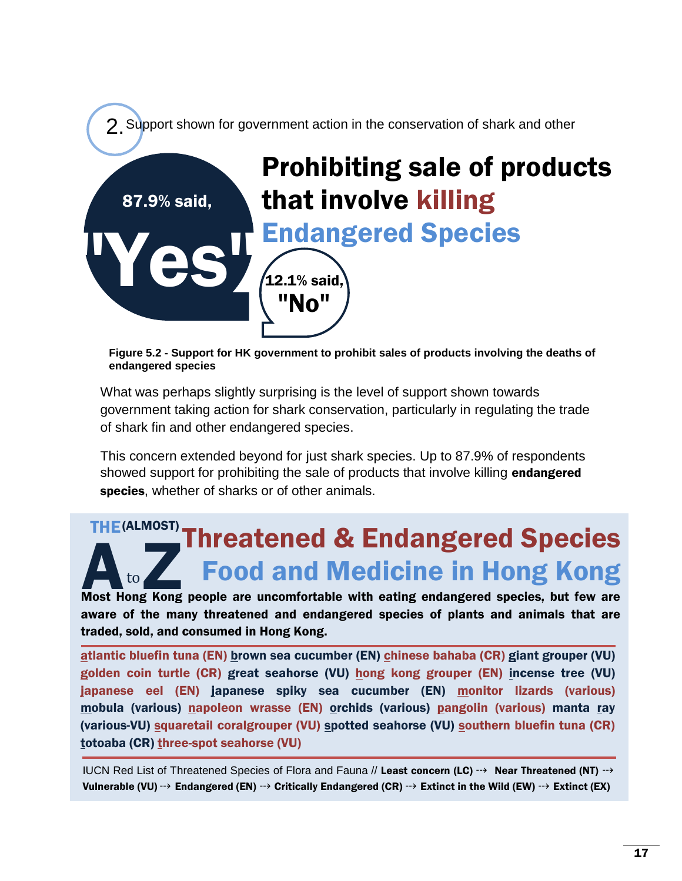

**Figure 5.2 - Support for HK government to prohibit sales of products involving the deaths of endangered species**

What was perhaps slightly surprising is the level of support shown towards government taking action for shark conservation, particularly in regulating the trade of shark fin and other endangered species.

This concern extended beyond for just shark species. Up to 87.9% of respondents showed support for prohibiting the sale of products that involve killing endangered species, whether of sharks or of other animals.

### **Most Hong Kong people are uncomfortable with eating endangered species, but few are Species, and Redictine in Hong Kong Species** Threatened & Endangered Species Food and Medicine in Hong Kong THE(ALMOST)

aware of the many threatened and endangered species of plants and animals that are traded, sold, and consumed in Hong Kong.

atlantic bluefin tuna (EN) brown sea cucumber (EN) chinese bahaba (CR) giant grouper (VU) golden coin turtle (CR) great seahorse (VU) hong kong grouper (EN) incense tree (VU) japanese eel (EN) japanese spiky sea cucumber (EN) monitor lizards (various) mobula (various) napoleon wrasse (EN) orchids (various) pangolin (various) manta ray (various-VU) squaretail coralgrouper (VU) spotted seahorse (VU) southern bluefin tuna (CR) totoaba (CR) three-spot seahorse (VU)

IUCN Red List of Threatened Species of Flora and Fauna // Least concern (LC)  $\rightarrow$  Near Threatened (NT)  $\rightarrow$ Vulnerable (VU)  $\rightarrow$  Endangered (EN)  $\rightarrow$  Critically Endangered (CR)  $\rightarrow$  Extinct in the Wild (EW)  $\rightarrow$  Extinct (EX)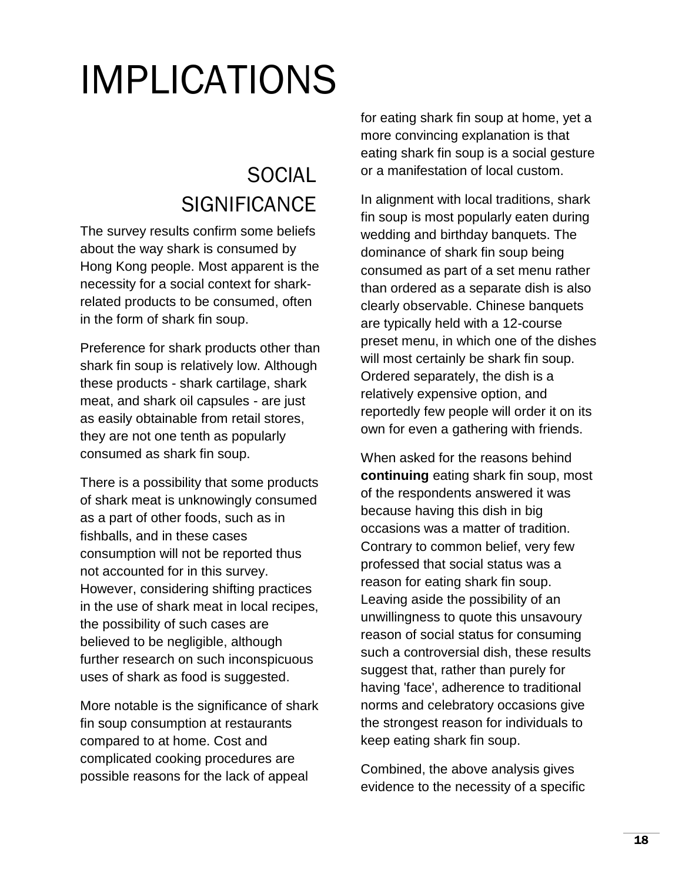# IMPLICATIONS

## **SOCIAL SIGNIFICANCE**

The survey results confirm some beliefs about the way shark is consumed by Hong Kong people. Most apparent is the necessity for a social context for sharkrelated products to be consumed, often in the form of shark fin soup.

Preference for shark products other than shark fin soup is relatively low. Although these products - shark cartilage, shark meat, and shark oil capsules - are just as easily obtainable from retail stores, they are not one tenth as popularly consumed as shark fin soup.

There is a possibility that some products of shark meat is unknowingly consumed as a part of other foods, such as in fishballs, and in these cases consumption will not be reported thus not accounted for in this survey. However, considering shifting practices in the use of shark meat in local recipes, the possibility of such cases are believed to be negligible, although further research on such inconspicuous uses of shark as food is suggested.

More notable is the significance of shark fin soup consumption at restaurants compared to at home. Cost and complicated cooking procedures are possible reasons for the lack of appeal

for eating shark fin soup at home, yet a more convincing explanation is that eating shark fin soup is a social gesture or a manifestation of local custom.

In alignment with local traditions, shark fin soup is most popularly eaten during wedding and birthday banquets. The dominance of shark fin soup being consumed as part of a set menu rather than ordered as a separate dish is also clearly observable. Chinese banquets are typically held with a 12-course preset menu, in which one of the dishes will most certainly be shark fin soup. Ordered separately, the dish is a relatively expensive option, and reportedly few people will order it on its own for even a gathering with friends.

When asked for the reasons behind **continuing** eating shark fin soup, most of the respondents answered it was because having this dish in big occasions was a matter of tradition. Contrary to common belief, very few professed that social status was a reason for eating shark fin soup. Leaving aside the possibility of an unwillingness to quote this unsavoury reason of social status for consuming such a controversial dish, these results suggest that, rather than purely for having 'face', adherence to traditional norms and celebratory occasions give the strongest reason for individuals to keep eating shark fin soup.

Combined, the above analysis gives evidence to the necessity of a specific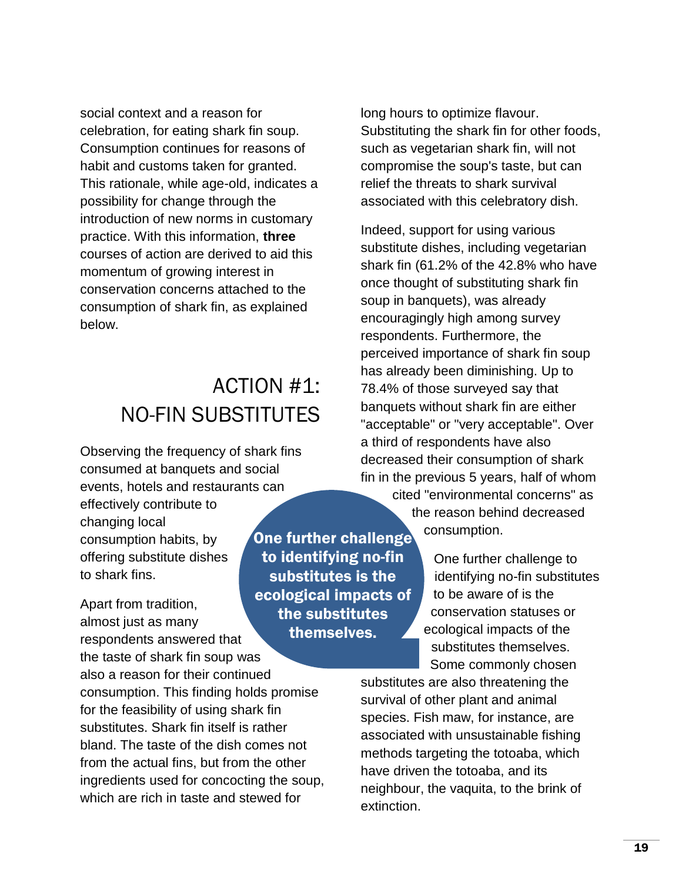social context and a reason for celebration, for eating shark fin soup. Consumption continues for reasons of habit and customs taken for granted. This rationale, while age-old, indicates a possibility for change through the introduction of new norms in customary practice. With this information, **three** courses of action are derived to aid this momentum of growing interest in conservation concerns attached to the consumption of shark fin, as explained below.

## ACTION #1: NO-FIN SUBSTITUTES

Observing the frequency of shark fins consumed at banquets and social events, hotels and restaurants can effectively contribute to changing local consumption habits, by offering substitute dishes to shark fins.

Apart from tradition, almost just as many respondents answered that the taste of shark fin soup was

also a reason for their continued consumption. This finding holds promise for the feasibility of using shark fin substitutes. Shark fin itself is rather bland. The taste of the dish comes not from the actual fins, but from the other ingredients used for concocting the soup, which are rich in taste and stewed for

One further challenge to identifying no-fin substitutes is the ecological impacts of the substitutes themselves.

long hours to optimize flavour. Substituting the shark fin for other foods, such as vegetarian shark fin, will not compromise the soup's taste, but can relief the threats to shark survival associated with this celebratory dish.

Indeed, support for using various substitute dishes, including vegetarian shark fin (61.2% of the 42.8% who have once thought of substituting shark fin soup in banquets), was already encouragingly high among survey respondents. Furthermore, the perceived importance of shark fin soup has already been diminishing. Up to 78.4% of those surveyed say that banquets without shark fin are either "acceptable" or "very acceptable". Over a third of respondents have also decreased their consumption of shark fin in the previous 5 years, half of whom

> cited "environmental concerns" as the reason behind decreased consumption.

> > One further challenge to identifying no-fin substitutes to be aware of is the conservation statuses or ecological impacts of the substitutes themselves. Some commonly chosen

substitutes are also threatening the survival of other plant and animal species. Fish maw, for instance, are associated with unsustainable fishing methods targeting the totoaba, which have driven the totoaba, and its neighbour, the vaquita, to the brink of extinction.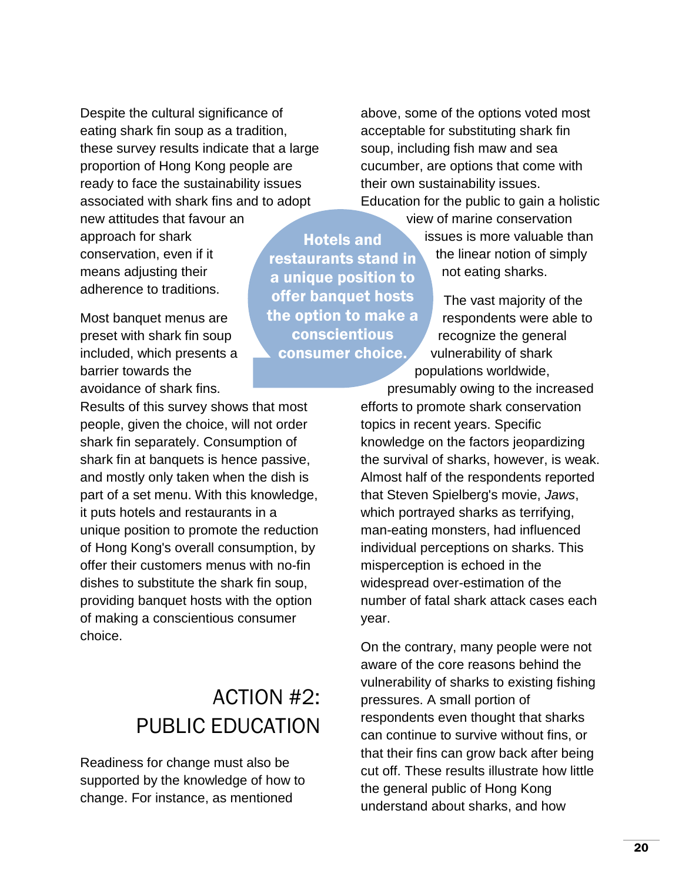Despite the cultural significance of eating shark fin soup as a tradition, these survey results indicate that a large proportion of Hong Kong people are ready to face the sustainability issues associated with shark fins and to adopt

new attitudes that favour an approach for shark conservation, even if it means adjusting their adherence to traditions.

Most banquet menus are preset with shark fin soup included, which presents a barrier towards the avoidance of shark fins.

Results of this survey shows that most people, given the choice, will not order shark fin separately. Consumption of shark fin at banquets is hence passive, and mostly only taken when the dish is part of a set menu. With this knowledge, it puts hotels and restaurants in a unique position to promote the reduction of Hong Kong's overall consumption, by offer their customers menus with no-fin dishes to substitute the shark fin soup, providing banquet hosts with the option of making a conscientious consumer choice.

## ACTION #2: PUBLIC EDUCATION

Readiness for change must also be supported by the knowledge of how to change. For instance, as mentioned

Hotels and restaurants stand in a unique position to offer banquet hosts the option to make a conscientious consumer choice.

above, some of the options voted most acceptable for substituting shark fin soup, including fish maw and sea cucumber, are options that come with their own sustainability issues. Education for the public to gain a holistic

view of marine conservation

issues is more valuable than the linear notion of simply not eating sharks.

The vast majority of the respondents were able to recognize the general vulnerability of shark populations worldwide,

presumably owing to the increased efforts to promote shark conservation topics in recent years. Specific knowledge on the factors jeopardizing the survival of sharks, however, is weak. Almost half of the respondents reported that Steven Spielberg's movie, *Jaws*, which portrayed sharks as terrifying, man-eating monsters, had influenced individual perceptions on sharks. This misperception is echoed in the widespread over-estimation of the number of fatal shark attack cases each year.

On the contrary, many people were not aware of the core reasons behind the vulnerability of sharks to existing fishing pressures. A small portion of respondents even thought that sharks can continue to survive without fins, or that their fins can grow back after being cut off. These results illustrate how little the general public of Hong Kong understand about sharks, and how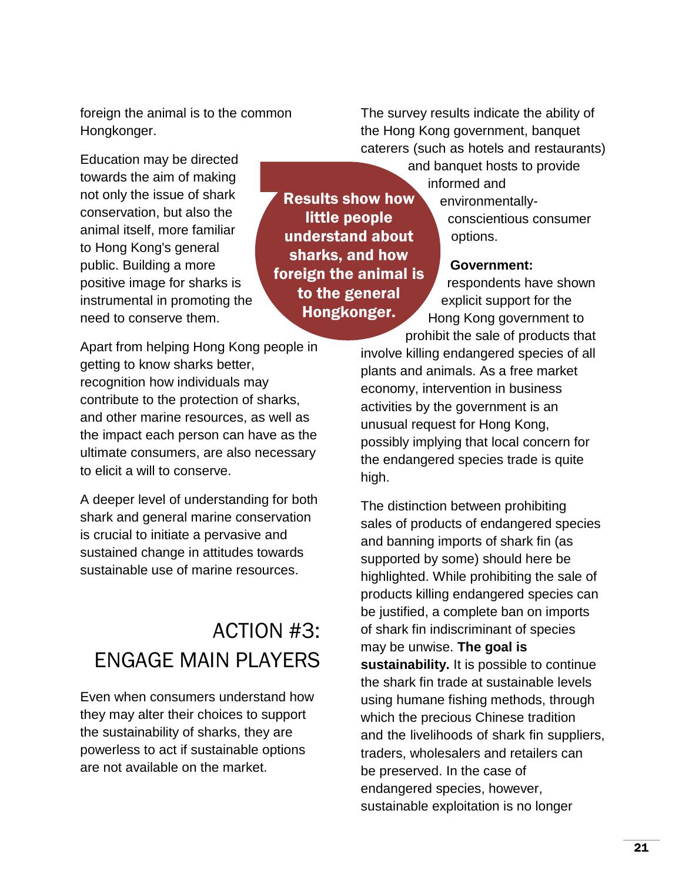foreign the animal is to the common Hongkonger.

Education may be directed towards the aim of making not only the issue of shark conservation, but also the animal itself, more familiar to Hong Kong's general public. Building a more positive image for sharks is instrumental in promoting the need to conserve them.

Apart from helping Hong Kong people in getting to know sharks better, recognition how individuals may contribute to the protection of sharks, and other marine resources, as well as the impact each person can have as the ultimate consumers, are also necessary to elicit a will to conserve.

A deeper level of understanding for both shark and general marine conservation is crucial to initiate a pervasive and sustained change in attitudes towards sustainable use of marine resources.

## ACTION #3: ENGAGE MAIN PLAYERS

Even when consumers understand how they may alter their choices to support the sustainability of sharks, they are powerless to act if sustainable options are not available on the market.

Results show how little people understand about sharks, and how foreign the animal is to the general Hongkonger.

The survey results indicate the ability of the Hong Kong government, banquet caterers (such as hotels and restaurants)

> and banquet hosts to provide informed and

environmentallyconscientious consumer options.

#### **Government:**

respondents have shown explicit support for the Hong Kong government to prohibit the sale of products that

involve killing endangered species of all plants and animals. As a free market economy, intervention in business activities by the government is an unusual request for Hong Kong, possibly implying that local concern for the endangered species trade is quite high.

The distinction between prohibiting sales of products of endangered species and banning imports of shark fin (as supported by some) should here be highlighted. While prohibiting the sale of products killing endangered species can be justified, a complete ban on imports of shark fin indiscriminant of species may be unwise. **The goal is sustainability.** It is possible to continue the shark fin trade at sustainable levels using humane fishing methods, through which the precious Chinese tradition and the livelihoods of shark fin suppliers, traders, wholesalers and retailers can be preserved. In the case of endangered species, however, sustainable exploitation is no longer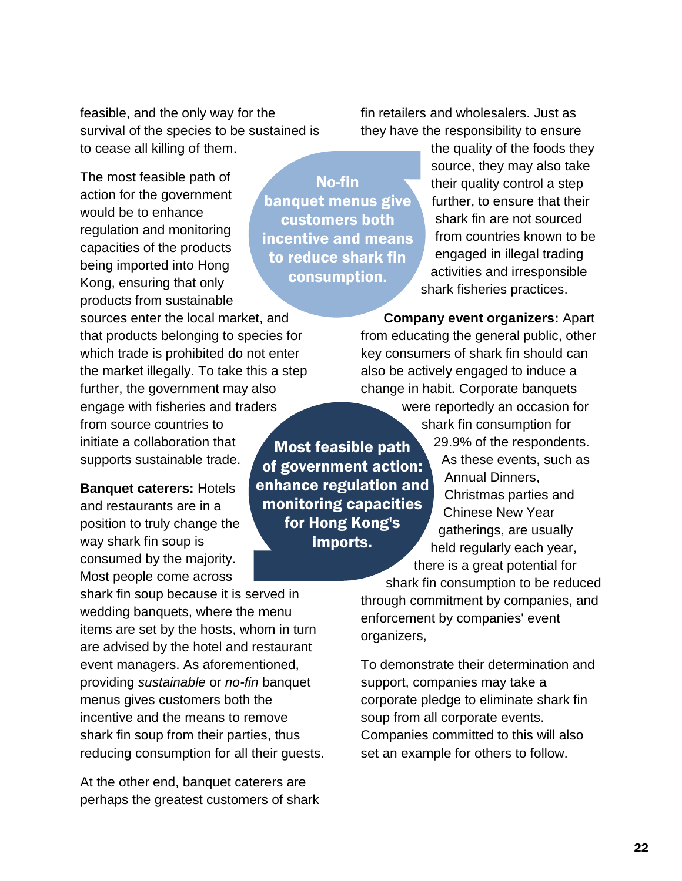feasible, and the only way for the survival of the species to be sustained is to cease all killing of them.

The most feasible path of action for the government would be to enhance regulation and monitoring capacities of the products being imported into Hong Kong, ensuring that only products from sustainable

Most feasible path of government action: sources enter the local market, and that products belonging to species for which trade is prohibited do not enter the market illegally. To take this a step further, the government may also engage with fisheries and traders from source countries to initiate a collaboration that supports sustainable trade.

**Banquet caterers:** Hotels and restaurants are in a position to truly change the way shark fin soup is consumed by the majority. Most people come across

shark fin soup because it is served in wedding banquets, where the menu items are set by the hosts, whom in turn are advised by the hotel and restaurant event managers. As aforementioned, providing *sustainable* or *no-fin* banquet menus gives customers both the incentive and the means to remove shark fin soup from their parties, thus reducing consumption for all their guests.

At the other end, banquet caterers are perhaps the greatest customers of shark

No-fin banquet menus give customers both incentive and means to reduce shark fin consumption.

> for Hong Kong's imports.

fin retailers and wholesalers. Just as they have the responsibility to ensure

> the quality of the foods they source, they may also take their quality control a step further, to ensure that their shark fin are not sourced from countries known to be engaged in illegal trading activities and irresponsible shark fisheries practices.

**Company event organizers:** Apart from educating the general public, other key consumers of shark fin should can also be actively engaged to induce a change in habit. Corporate banquets

enhance regulation and monitoring capacities were reportedly an occasion for shark fin consumption for 29.9% of the respondents. As these events, such as Annual Dinners, Christmas parties and

Chinese New Year gatherings, are usually held regularly each year, there is a great potential for

shark fin consumption to be reduced through commitment by companies, and enforcement by companies' event organizers,

To demonstrate their determination and support, companies may take a corporate pledge to eliminate shark fin soup from all corporate events. Companies committed to this will also set an example for others to follow.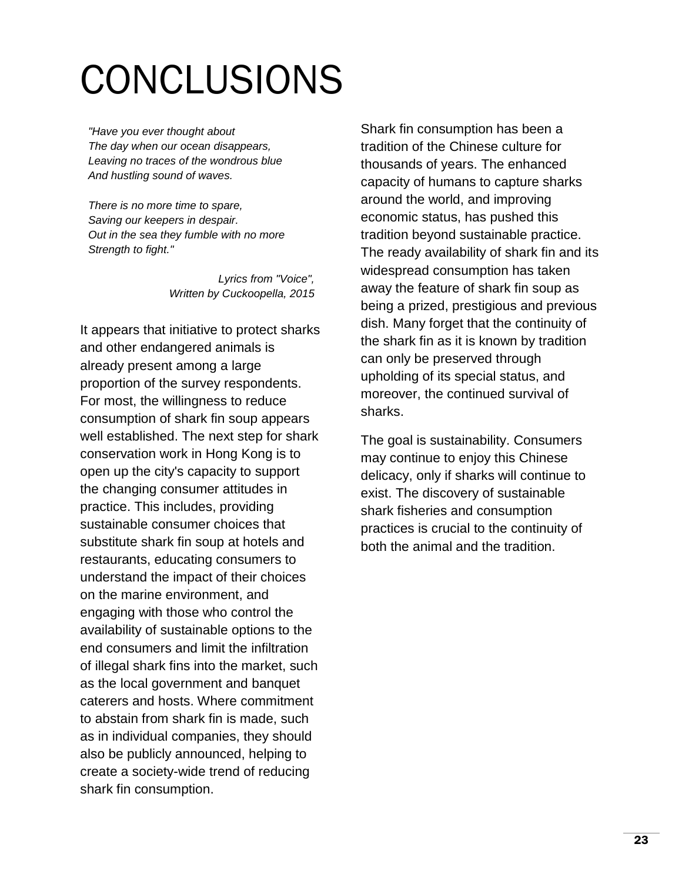# CONCLUSIONS

*"Have you ever thought about The day when our ocean disappears, Leaving no traces of the wondrous blue And hustling sound of waves.*

*There is no more time to spare, Saving our keepers in despair. Out in the sea they fumble with no more Strength to fight."*

> *Lyrics from "Voice", Written by Cuckoopella, 2015*

It appears that initiative to protect sharks and other endangered animals is already present among a large proportion of the survey respondents. For most, the willingness to reduce consumption of shark fin soup appears well established. The next step for shark conservation work in Hong Kong is to open up the city's capacity to support the changing consumer attitudes in practice. This includes, providing sustainable consumer choices that substitute shark fin soup at hotels and restaurants, educating consumers to understand the impact of their choices on the marine environment, and engaging with those who control the availability of sustainable options to the end consumers and limit the infiltration of illegal shark fins into the market, such as the local government and banquet caterers and hosts. Where commitment to abstain from shark fin is made, such as in individual companies, they should also be publicly announced, helping to create a society-wide trend of reducing shark fin consumption.

Shark fin consumption has been a tradition of the Chinese culture for thousands of years. The enhanced capacity of humans to capture sharks around the world, and improving economic status, has pushed this tradition beyond sustainable practice. The ready availability of shark fin and its widespread consumption has taken away the feature of shark fin soup as being a prized, prestigious and previous dish. Many forget that the continuity of the shark fin as it is known by tradition can only be preserved through upholding of its special status, and moreover, the continued survival of sharks.

The goal is sustainability. Consumers may continue to enjoy this Chinese delicacy, only if sharks will continue to exist. The discovery of sustainable shark fisheries and consumption practices is crucial to the continuity of both the animal and the tradition.